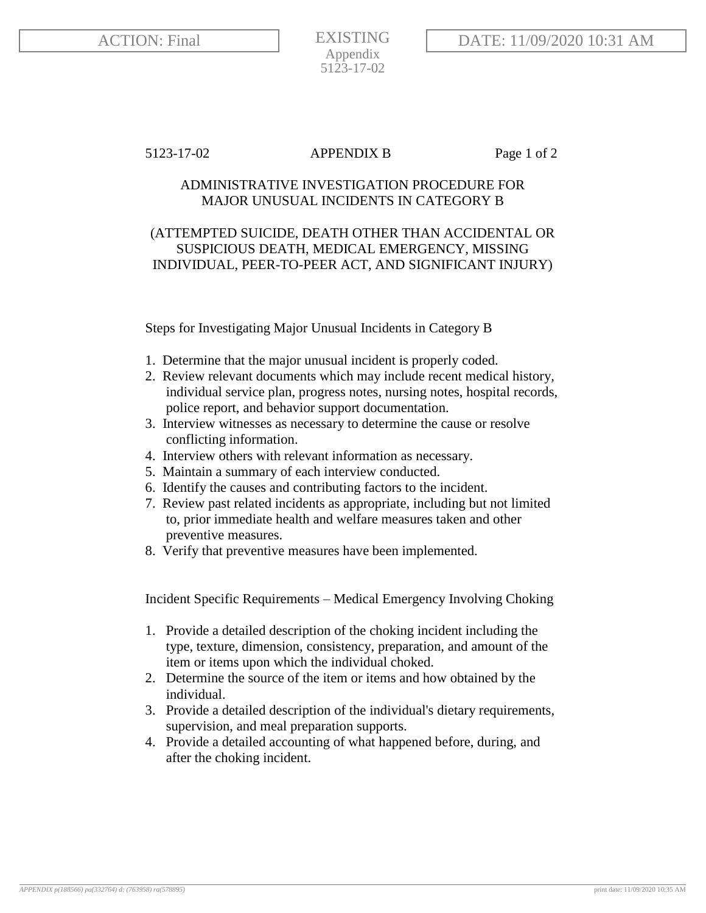EXISTING Appendix 5123-17-02

## 5123-17-02 APPENDIX B Page 1 of 2

## ADMINISTRATIVE INVESTIGATION PROCEDURE FOR MAJOR UNUSUAL INCIDENTS IN CATEGORY B

## (ATTEMPTED SUICIDE, DEATH OTHER THAN ACCIDENTAL OR SUSPICIOUS DEATH, MEDICAL EMERGENCY, MISSING INDIVIDUAL, PEER-TO-PEER ACT, AND SIGNIFICANT INJURY)

Steps for Investigating Major Unusual Incidents in Category B

- 1. Determine that the major unusual incident is properly coded.
- 2. Review relevant documents which may include recent medical history, individual service plan, progress notes, nursing notes, hospital records, police report, and behavior support documentation.
- 3. Interview witnesses as necessary to determine the cause or resolve conflicting information.
- 4. Interview others with relevant information as necessary.
- 5. Maintain a summary of each interview conducted.
- 6. Identify the causes and contributing factors to the incident.
- 7. Review past related incidents as appropriate, including but not limited to, prior immediate health and welfare measures taken and other preventive measures.
- 8. Verify that preventive measures have been implemented.

Incident Specific Requirements – Medical Emergency Involving Choking

- 1. Provide a detailed description of the choking incident including the type, texture, dimension, consistency, preparation, and amount of the item or items upon which the individual choked.
- 2. Determine the source of the item or items and how obtained by the individual.
- 3. Provide a detailed description of the individual's dietary requirements, supervision, and meal preparation supports.
- 4. Provide a detailed accounting of what happened before, during, and after the choking incident.